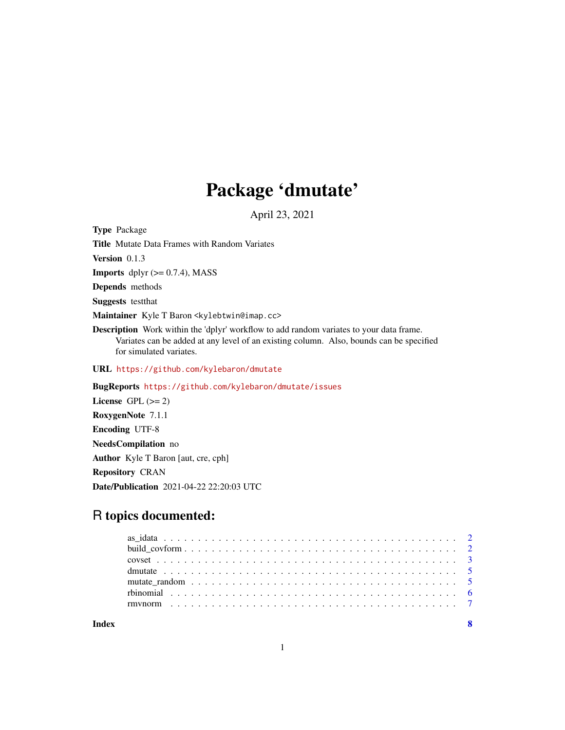# Package 'dmutate'

April 23, 2021

<span id="page-0-0"></span>Type Package Title Mutate Data Frames with Random Variates Version 0.1.3 **Imports** dplyr  $(>= 0.7.4)$ , MASS Depends methods Suggests testthat Maintainer Kyle T Baron <kylebtwin@imap.cc> Description Work within the 'dplyr' workflow to add random variates to your data frame. Variates can be added at any level of an existing column. Also, bounds can be specified for simulated variates. URL <https://github.com/kylebaron/dmutate> BugReports <https://github.com/kylebaron/dmutate/issues> License GPL  $(>= 2)$ 

RoxygenNote 7.1.1 Encoding UTF-8 NeedsCompilation no Author Kyle T Baron [aut, cre, cph] Repository CRAN Date/Publication 2021-04-22 22:20:03 UTC

# R topics documented:

**Index** [8](#page-7-0) **8**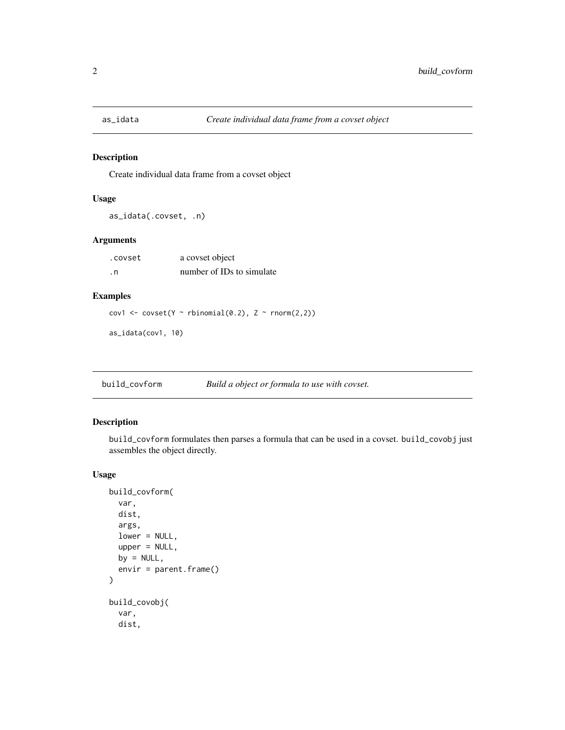<span id="page-1-0"></span>

#### Description

Create individual data frame from a covset object

#### Usage

```
as_idata(.covset, .n)
```
# Arguments

.covset a covset object .n number of IDs to simulate

#### Examples

cov1 <- covset(Y ~ rbinomial(0.2), Z ~ rnorm(2,2))

as\_idata(cov1, 10)

build\_covform *Build a object or formula to use with covset.*

#### Description

build\_covform formulates then parses a formula that can be used in a covset. build\_covobj just assembles the object directly.

#### Usage

```
build_covform(
  var,
  dist,
  args,
  lower = NULL,
  upper = NULL,
 by = NULL,
  envir = parent.frame()
)
build_covobj(
  var,
  dist,
```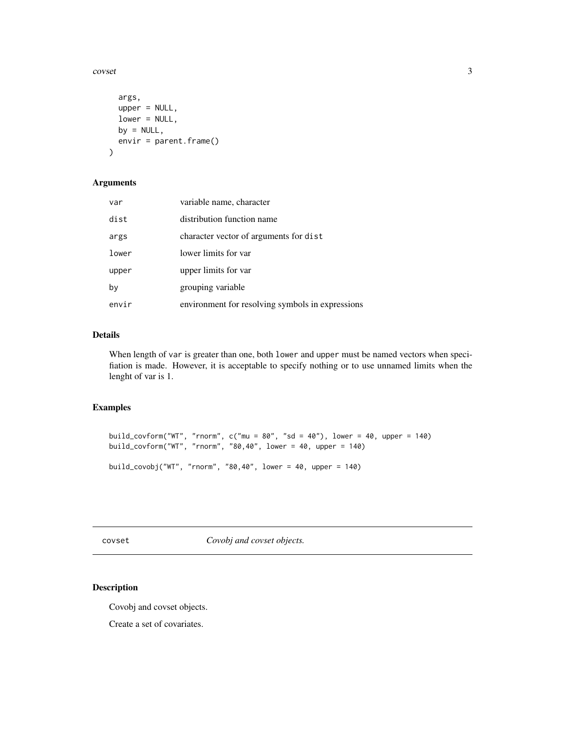<span id="page-2-0"></span> $\frac{1}{3}$ 

```
args,
  upper = NULL,
  lower = NULL,
 by = NULL,
  envir = parent.frame()
\mathcal{L}
```
# Arguments

| var   | variable name, character                         |
|-------|--------------------------------------------------|
| dist  | distribution function name                       |
| args  | character vector of arguments for dist           |
| lower | lower limits for var                             |
| upper | upper limits for var                             |
| by    | grouping variable                                |
| envir | environment for resolving symbols in expressions |

# Details

When length of var is greater than one, both lower and upper must be named vectors when specifiation is made. However, it is acceptable to specify nothing or to use unnamed limits when the lenght of var is 1.

#### Examples

```
build_covform("WT", "rnorm", c("mu = 80", "sd = 40"), lower = 40, upper = 140)
build_covform("WT", "rnorm", "80,40", lower = 40, upper = 140)
build_covobj("WT", "rnorm", "80,40", lower = 40, upper = 140)
```
covset *Covobj and covset objects.*

# Description

Covobj and covset objects.

Create a set of covariates.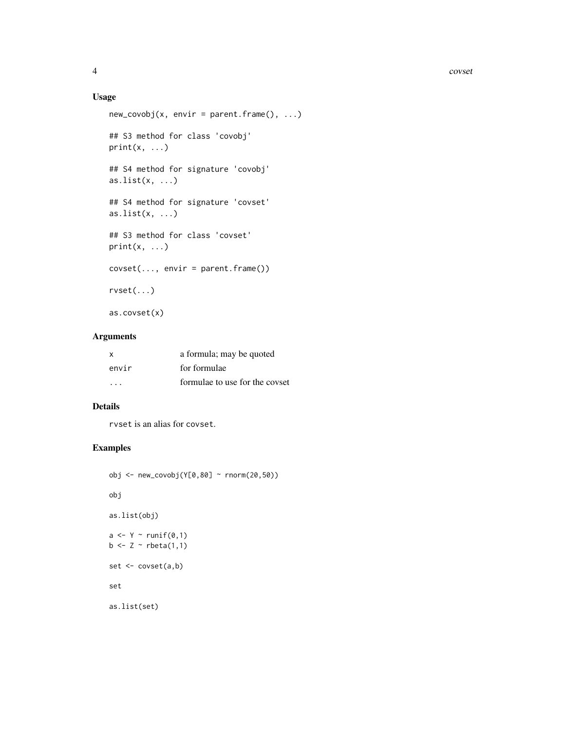#### Usage

```
new\_covobj(x, envir = parent-frame(), ...)## S3 method for class 'covobj'
print(x, \ldots)## S4 method for signature 'covobj'
as.list(x, \ldots)## S4 method for signature 'covset'
as.list(x, \ldots)## S3 method for class 'covset'
print(x, \ldots)covset(..., envir = parent.frame())
rvset(...)
as.covset(x)
```
#### Arguments

| $\times$                | a formula; may be quoted       |
|-------------------------|--------------------------------|
| envir                   | for formulae                   |
| $\cdot$ $\cdot$ $\cdot$ | formulae to use for the covset |

# Details

rvset is an alias for covset.

# Examples

```
obj <- new_covobj(Y[0,80] ~ rnorm(20,50))
obj
as.list(obj)
a \leftarrow Y \sim runif(\emptyset, 1)b \leftarrow Z \sim \text{rbeta}(1,1)set <- covset(a,b)
set
as.list(set)
```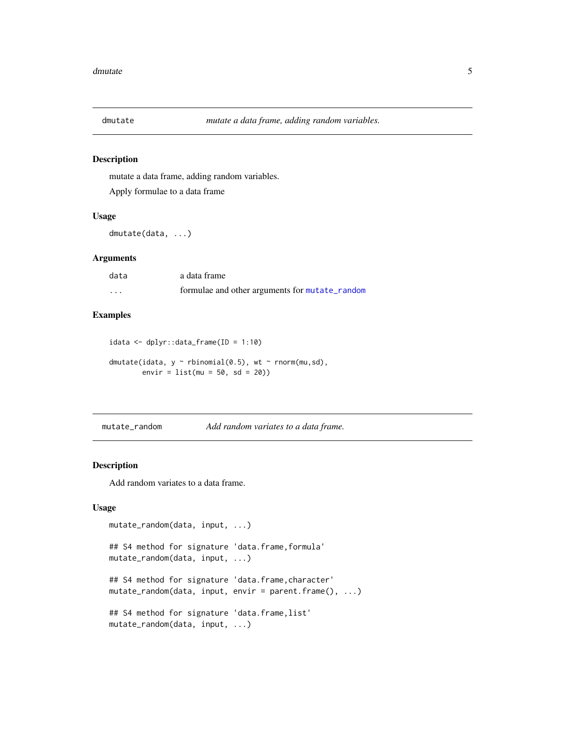<span id="page-4-0"></span>

#### Description

mutate a data frame, adding random variables.

Apply formulae to a data frame

#### Usage

dmutate(data, ...)

# Arguments

| data | a data frame                                   |
|------|------------------------------------------------|
| .    | formulae and other arguments for mutate_random |

# Examples

idata <- dplyr::data\_frame(ID = 1:10) dmutate(idata,  $y \sim$  rbinomial(0.5), wt  $\sim$  rnorm(mu,sd),  $envir = list(mu = 50, sd = 20)$ 

<span id="page-4-1"></span>mutate\_random *Add random variates to a data frame.*

# Description

Add random variates to a data frame.

#### Usage

```
mutate_random(data, input, ...)
## S4 method for signature 'data.frame,formula'
mutate_random(data, input, ...)
## S4 method for signature 'data.frame,character'
mutate_random(data, input, envir = parent.frame(), ...)
## S4 method for signature 'data.frame,list'
mutate_random(data, input, ...)
```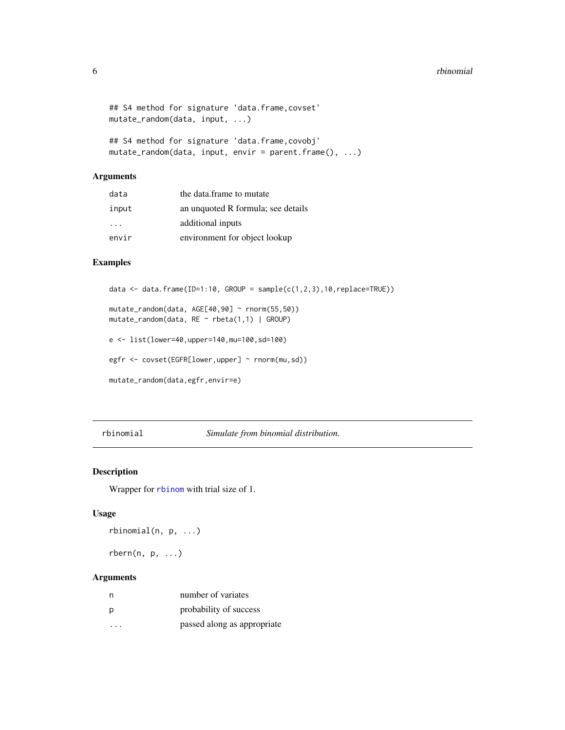```
## S4 method for signature 'data.frame, covset'
mutate_random(data, input, ...)
## S4 method for signature 'data.frame,covobj'
```

```
mutate_random(data, input, envir = parent.frame(), ...)
```
# Arguments

| data                    | the data.frame to mutate           |
|-------------------------|------------------------------------|
| input                   | an unquoted R formula; see details |
| $\cdot$ $\cdot$ $\cdot$ | additional inputs                  |
| envir                   | environment for object lookup      |

#### Examples

```
data \leq data.frame(ID=1:10, GROUP = sample(c(1,2,3),10,replace=TRUE))
```

```
mutate_random(data, AGE[40,90] ~ rnorm(55,50))
mutate_random(data, RE ~ rbeta(1,1) | GROUP)
```

```
e <- list(lower=40,upper=140,mu=100,sd=100)
```

```
egfr <- covset(EGFR[lower,upper] ~ rnorm(mu,sd))
```

```
mutate_random(data,egfr,envir=e)
```
#### rbinomial *Simulate from binomial distribution.*

# Description

Wrapper for [rbinom](#page-0-0) with trial size of 1.

#### Usage

rbinomial(n, p, ...)

 $rbern(n, p, ...)$ 

# Arguments

| n | number of variates          |
|---|-----------------------------|
| D | probability of success      |
| . | passed along as appropriate |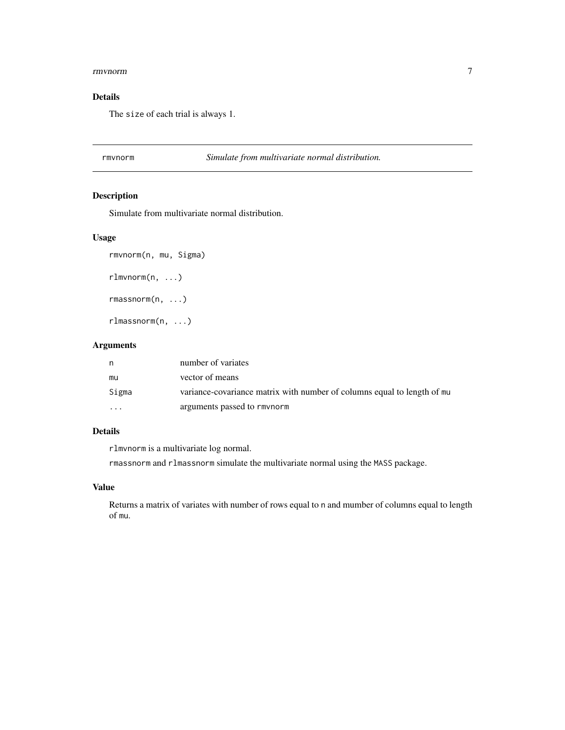#### <span id="page-6-0"></span>rmvnorm 7

# Details

The size of each trial is always 1.

#### rmvnorm *Simulate from multivariate normal distribution.*

# Description

Simulate from multivariate normal distribution.

# Usage

```
rmvnorm(n, mu, Sigma)
```
rlmvnorm(n, ...)

rmassnorm(n, ...)

rlmassnorm(n, ...)

#### Arguments

| n        | number of variates                                                      |
|----------|-------------------------------------------------------------------------|
| mu       | vector of means                                                         |
| Sigma    | variance-covariance matrix with number of columns equal to length of mu |
| $\cdots$ | arguments passed to rmynorm                                             |

# Details

rlmvnorm is a multivariate log normal.

rmassnorm and rlmassnorm simulate the multivariate normal using the MASS package.

#### Value

Returns a matrix of variates with number of rows equal to n and mumber of columns equal to length of mu.